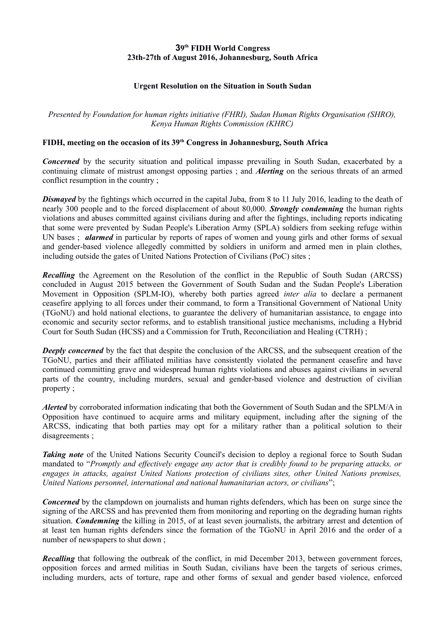### **39 th FIDH World Congress 23th-27th of August 2016, Johannesburg, South Africa**

## **Urgent Resolution on the Situation in South Sudan**

*Presented by Foundation for human rights initiative (FHRI), Sudan Human Rights Organisation (SHRO), Kenya Human Rights Commission (KHRC)*

## **FIDH, meeting on the occasion of its 39th Congress in Johannesburg, South Africa**

*Concerned* by the security situation and political impasse prevailing in South Sudan, exacerbated by a continuing climate of mistrust amongst opposing parties ; and *Alerting* on the serious threats of an armed conflict resumption in the country ;

**Dismayed** by the fightings which occurred in the capital Juba, from 8 to 11 July 2016, leading to the death of nearly 300 people and to the forced displacement of about 80,000. *Strongly condemning* the human rights violations and abuses committed against civilians during and after the fightings, including reports indicating that some were prevented by Sudan People's Liberation Army (SPLA) soldiers from seeking refuge within UN bases : *alarmed* in particular by reports of rapes of women and young girls and other forms of sexual and gender-based violence allegedly committed by soldiers in uniform and armed men in plain clothes, including outside the gates of United Nations Protection of Civilians (PoC) sites ;

*Recalling* the Agreement on the Resolution of the conflict in the Republic of South Sudan (ARCSS) concluded in August 2015 between the Government of South Sudan and the Sudan People's Liberation Movement in Opposition (SPLM-IO), whereby both parties agreed *inter alia* to declare a permanent ceasefire applying to all forces under their command, to form a Transitional Government of National Unity (TGoNU) and hold national elections, to guarantee the delivery of humanitarian assistance, to engage into economic and security sector reforms, and to establish transitional justice mechanisms, including a Hybrid Court for South Sudan (HCSS) and a Commission for Truth, Reconciliation and Healing (CTRH) ;

**Deeply concerned** by the fact that despite the conclusion of the ARCSS, and the subsequent creation of the TGoNU, parties and their affiliated militias have consistently violated the permanent ceasefire and have continued committing grave and widespread human rights violations and abuses against civilians in several parts of the country, including murders, sexual and gender-based violence and destruction of civilian property ;

*Alerted* by corroborated information indicating that both the Government of South Sudan and the SPLM/A in Opposition have continued to acquire arms and military equipment, including after the signing of the ARCSS, indicating that both parties may opt for a military rather than a political solution to their disagreements ;

*Taking note* of the United Nations Security Council's decision to deploy a regional force to South Sudan mandated to "*Promptly and effectively engage any actor that is credibly found to be preparing attacks, or engages in attacks, against United Nations protection of civilians sites, other United Nations premises, United Nations personnel, international and national humanitarian actors, or civilians*";

*Concerned* by the clampdown on journalists and human rights defenders, which has been on surge since the signing of the ARCSS and has prevented them from monitoring and reporting on the degrading human rights situation. *Condemning* the killing in 2015, of at least seven journalists, the arbitrary arrest and detention of at least ten human rights defenders since the formation of the TGoNU in April 2016 and the order of a number of newspapers to shut down ;

*Recalling* that following the outbreak of the conflict, in mid December 2013, between government forces, opposition forces and armed militias in South Sudan, civilians have been the targets of serious crimes, including murders, acts of torture, rape and other forms of sexual and gender based violence, enforced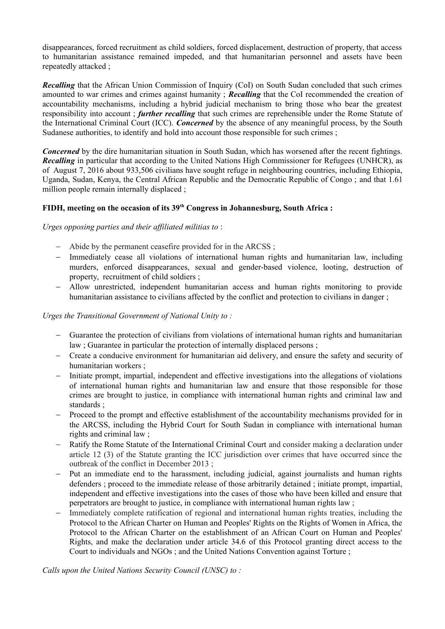disappearances, forced recruitment as child soldiers, forced displacement, destruction of property, that access to humanitarian assistance remained impeded, and that humanitarian personnel and assets have been repeatedly attacked ;

*Recalling* that the African Union Commission of Inquiry (CoI) on South Sudan concluded that such crimes amounted to war crimes and crimes against humanity ; *Recalling* that the CoI recommended the creation of accountability mechanisms, including a hybrid judicial mechanism to bring those who bear the greatest responsibility into account ; *further recalling* that such crimes are reprehensible under the Rome Statute of the International Criminal Court (ICC). *Concerned* by the absence of any meaningful process, by the South Sudanese authorities, to identify and hold into account those responsible for such crimes ;

*Concerned* by the dire humanitarian situation in South Sudan, which has worsened after the recent fightings. *Recalling* in particular that according to the United Nations High Commissioner for Refugees (UNHCR), as of August 7, 2016 about 933,506 civilians have sought refuge in neighbouring countries, including Ethiopia, Uganda, Sudan, Kenya, the Central African Republic and the Democratic Republic of Congo ; and that 1.61 million people remain internally displaced ;

# **FIDH, meeting on the occasion of its 39th Congress in Johannesburg, South Africa :**

*Urges opposing parties and their affiliated militias to* :

- Abide by the permanent ceasefire provided for in the ARCSS;
- Immediately cease all violations of international human rights and humanitarian law, including murders, enforced disappearances, sexual and gender-based violence, looting, destruction of property, recruitment of child soldiers ;
- Allow unrestricted, independent humanitarian access and human rights monitoring to provide humanitarian assistance to civilians affected by the conflict and protection to civilians in danger ;

#### *Urges the Transitional Government of National Unity to :*

- Guarantee the protection of civilians from violations of international human rights and humanitarian law ; Guarantee in particular the protection of internally displaced persons ;
- Create a conducive environment for humanitarian aid delivery, and ensure the safety and security of humanitarian workers ;
- $-$  Initiate prompt, impartial, independent and effective investigations into the allegations of violations of international human rights and humanitarian law and ensure that those responsible for those crimes are brought to justice, in compliance with international human rights and criminal law and standards ;
- Proceed to the prompt and effective establishment of the accountability mechanisms provided for in the ARCSS, including the Hybrid Court for South Sudan in compliance with international human rights and criminal law ;
- Ratify the Rome Statute of the International Criminal Court and consider making a declaration under article 12 (3) of the Statute granting the ICC jurisdiction over crimes that have occurred since the outbreak of the conflict in December 2013 ;
- Put an immediate end to the harassment, including judicial, against journalists and human rights defenders ; proceed to the immediate release of those arbitrarily detained ; initiate prompt, impartial, independent and effective investigations into the cases of those who have been killed and ensure that perpetrators are brought to justice, in compliance with international human rights law ;
- Immediately complete ratification of regional and international human rights treaties, including the Protocol to the African Charter on Human and Peoples' Rights on the Rights of Women in Africa, the Protocol to the African Charter on the establishment of an African Court on Human and Peoples' Rights, and make the declaration under article 34.6 of this Protocol granting direct access to the Court to individuals and NGOs ; and the United Nations Convention against Torture ;

*Calls upon the United Nations Security Council (UNSC) to :*